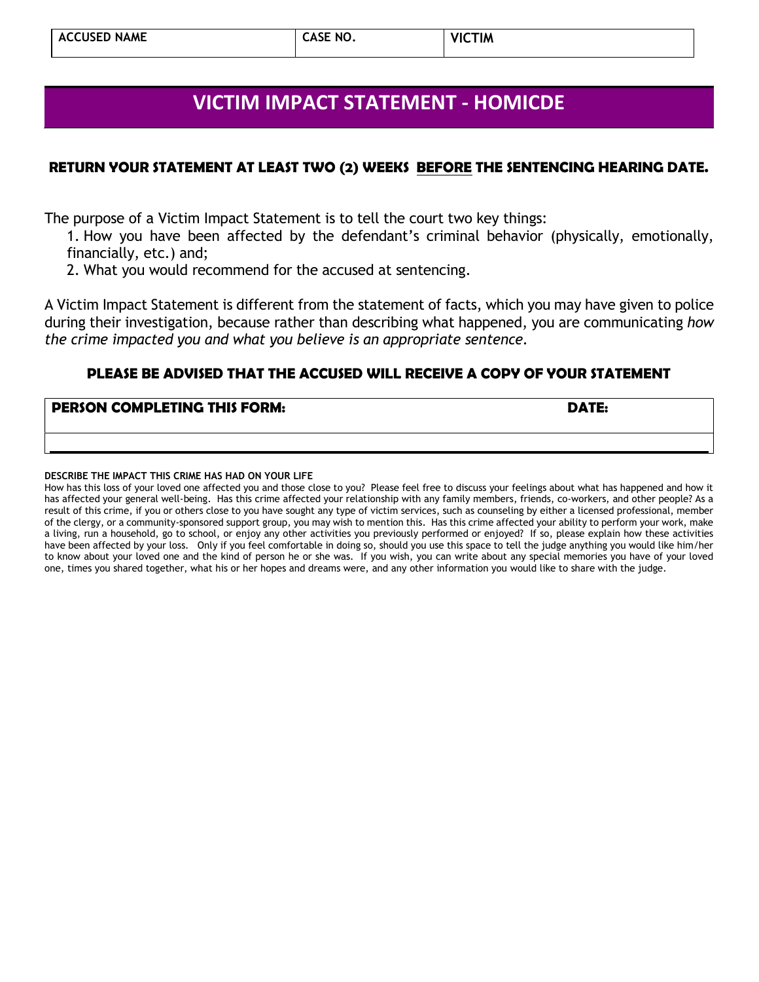# VICTIM IMPACT STATEMENT - HOMICDE

### RETURN YOUR STATEMENT AT LEAST TWO (2) WEEKS BEFORE THE SENTENCING HEARING DATE.

The purpose of a Victim Impact Statement is to tell the court two key things:

- 1. How you have been affected by the defendant's criminal behavior (physically, emotionally, financially, etc.) and;
- 2. What you would recommend for the accused at sentencing.

A Victim Impact Statement is different from the statement of facts, which you may have given to police during their investigation, because rather than describing what happened, you are communicating how the crime impacted you and what you believe is an appropriate sentence.

## PLEASE BE ADVISED THAT THE ACCUSED WILL RECEIVE A COPY OF YOUR STATEMENT

#### **PERSON COMPLETING THIS FORM:**  $\blacksquare$  DATE:

#### DESCRIBE THE IMPACT THIS CRIME HAS HAD ON YOUR LIFE

How has this loss of your loved one affected you and those close to you? Please feel free to discuss your feelings about what has happened and how it has affected your general well-being. Has this crime affected your relationship with any family members, friends, co-workers, and other people? As a result of this crime, if you or others close to you have sought any type of victim services, such as counseling by either a licensed professional, member of the clergy, or a community-sponsored support group, you may wish to mention this. Has this crime affected your ability to perform your work, make a living, run a household, go to school, or enjoy any other activities you previously performed or enjoyed? If so, please explain how these activities have been affected by your loss. Only if you feel comfortable in doing so, should you use this space to tell the judge anything you would like him/her to know about your loved one and the kind of person he or she was. If you wish, you can write about any special memories you have of your loved one, times you shared together, what his or her hopes and dreams were, and any other information you would like to share with the judge.